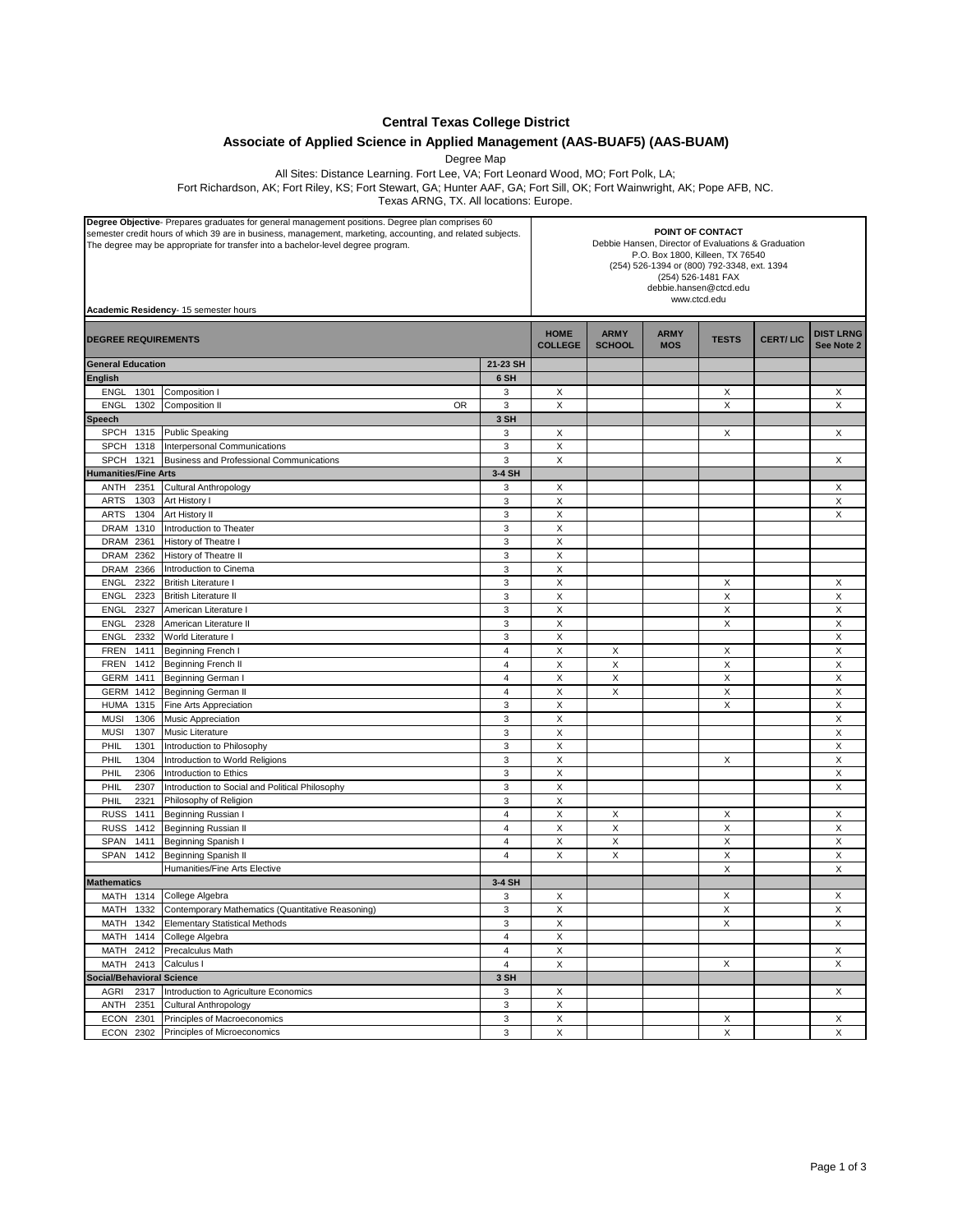**Central Texas College District**

## **Associate of Applied Science in Applied Management (AAS-BUAF5) (AAS-BUAM)**

Degree Map

All Sites: Distance Learning. Fort Lee, VA; Fort Leonard Wood, MO; Fort Polk, LA;

Fort Richardson, AK; Fort Riley, KS; Fort Stewart, GA; Hunter AAF, GA; Fort Sill, OK; Fort Wainwright, AK; Pope AFB, NC.

Texas ARNG, TX. All locations: Europe.

| Degree Objective- Prepares graduates for general management positions. Degree plan comprises 60<br>semester credit hours of which 39 are in business, management, marketing, accounting, and related subjects.<br>The degree may be appropriate for transfer into a bachelor-level degree program.<br>Academic Residency- 15 semester hours |                |                               | POINT OF CONTACT<br>Debbie Hansen, Director of Evaluations & Graduation<br>P.O. Box 1800, Killeen, TX 76540<br>(254) 526-1394 or (800) 792-3348, ext. 1394<br>(254) 526-1481 FAX<br>debbie.hansen@ctcd.edu<br>www.ctcd.edu |                           |              |                 |                                |  |
|---------------------------------------------------------------------------------------------------------------------------------------------------------------------------------------------------------------------------------------------------------------------------------------------------------------------------------------------|----------------|-------------------------------|----------------------------------------------------------------------------------------------------------------------------------------------------------------------------------------------------------------------------|---------------------------|--------------|-----------------|--------------------------------|--|
| <b>DEGREE REQUIREMENTS</b>                                                                                                                                                                                                                                                                                                                  |                | <b>HOME</b><br><b>COLLEGE</b> | <b>ARMY</b><br><b>SCHOOL</b>                                                                                                                                                                                               | <b>ARMY</b><br><b>MOS</b> | <b>TESTS</b> | <b>CERT/LIC</b> | <b>DIST LRNG</b><br>See Note 2 |  |
| <b>General Education</b>                                                                                                                                                                                                                                                                                                                    | 21-23 SH       |                               |                                                                                                                                                                                                                            |                           |              |                 |                                |  |
| <b>English</b>                                                                                                                                                                                                                                                                                                                              | 6 SH           |                               |                                                                                                                                                                                                                            |                           |              |                 |                                |  |
| ENGL<br>1301<br>Composition I                                                                                                                                                                                                                                                                                                               | 3              | Х                             |                                                                                                                                                                                                                            |                           | Х            |                 | Х                              |  |
| 1302<br><b>ENGL</b><br>Composition II<br>0R                                                                                                                                                                                                                                                                                                 | 3              | Х                             |                                                                                                                                                                                                                            |                           | X            |                 | X                              |  |
| <b>Speech</b>                                                                                                                                                                                                                                                                                                                               | 3 SH           |                               |                                                                                                                                                                                                                            |                           |              |                 |                                |  |
| <b>SPCH</b><br>1315<br><b>Public Speaking</b>                                                                                                                                                                                                                                                                                               | 3              | Х                             |                                                                                                                                                                                                                            |                           | X            |                 | X                              |  |
| <b>SPCH</b><br>Interpersonal Communications<br>1318                                                                                                                                                                                                                                                                                         | 3              | X                             |                                                                                                                                                                                                                            |                           |              |                 |                                |  |
| <b>SPCH</b><br>1321<br><b>Business and Professional Communications</b>                                                                                                                                                                                                                                                                      | 3              | X                             |                                                                                                                                                                                                                            |                           |              |                 | X                              |  |
| <b>Humanities/Fine Arts</b>                                                                                                                                                                                                                                                                                                                 | 3-4 SH         |                               |                                                                                                                                                                                                                            |                           |              |                 |                                |  |
| ANTH<br>2351<br>Cultural Anthropology                                                                                                                                                                                                                                                                                                       | 3              | Х                             |                                                                                                                                                                                                                            |                           |              |                 | X                              |  |
| Art History I<br><b>ARTS</b><br>1303                                                                                                                                                                                                                                                                                                        | 3              | X                             |                                                                                                                                                                                                                            |                           |              |                 | X                              |  |
| <b>ARTS</b><br>1304<br>Art History II                                                                                                                                                                                                                                                                                                       | 3              | X                             |                                                                                                                                                                                                                            |                           |              |                 | X                              |  |
| Introduction to Theater<br>1310<br>DRAM                                                                                                                                                                                                                                                                                                     | 3              | X                             |                                                                                                                                                                                                                            |                           |              |                 |                                |  |
| <b>DRAM</b><br>2361<br>History of Theatre I                                                                                                                                                                                                                                                                                                 | 3              | X                             |                                                                                                                                                                                                                            |                           |              |                 |                                |  |
| DRAM<br>2362<br>History of Theatre II                                                                                                                                                                                                                                                                                                       | 3              | X                             |                                                                                                                                                                                                                            |                           |              |                 |                                |  |
| DRAM 2366<br>Introduction to Cinema                                                                                                                                                                                                                                                                                                         | 3              | Х                             |                                                                                                                                                                                                                            |                           |              |                 |                                |  |
| 2322<br>ENGL<br><b>British Literature I</b>                                                                                                                                                                                                                                                                                                 | 3              | Х                             |                                                                                                                                                                                                                            |                           | X            |                 | X                              |  |
| ENGL<br>2323<br><b>British Literature II</b>                                                                                                                                                                                                                                                                                                | 3              | X                             |                                                                                                                                                                                                                            |                           | $\times$     |                 | X                              |  |
| ENGL<br>2327<br>American Literature I                                                                                                                                                                                                                                                                                                       | 3              | X                             |                                                                                                                                                                                                                            |                           | X            |                 | X                              |  |
| ENGL<br>2328<br>American Literature II                                                                                                                                                                                                                                                                                                      | 3              | X                             |                                                                                                                                                                                                                            |                           | X            |                 | X                              |  |
| ENGL<br>2332<br>World Literature I                                                                                                                                                                                                                                                                                                          | 3              | X                             |                                                                                                                                                                                                                            |                           |              |                 | X                              |  |
| <b>FREN</b><br>1411<br>Beginning French I                                                                                                                                                                                                                                                                                                   | 4              | Χ                             | X                                                                                                                                                                                                                          |                           | Х            |                 | X                              |  |
| <b>FREN</b><br>1412<br>Beginning French II                                                                                                                                                                                                                                                                                                  | 4              | X                             | X                                                                                                                                                                                                                          |                           | X            |                 | X                              |  |
| GERM 1411<br>Beginning German I                                                                                                                                                                                                                                                                                                             | $\overline{4}$ | X                             | X                                                                                                                                                                                                                          |                           | $\times$     |                 | X                              |  |
| GERM 1412<br><b>Beginning German II</b>                                                                                                                                                                                                                                                                                                     | $\overline{4}$ | X                             | X                                                                                                                                                                                                                          |                           | X            |                 | X                              |  |
| Fine Arts Appreciation<br><b>HUMA</b><br>1315                                                                                                                                                                                                                                                                                               | 3              | X                             |                                                                                                                                                                                                                            |                           | X            |                 | X                              |  |
| <b>MUSI</b><br>1306<br>Music Appreciation                                                                                                                                                                                                                                                                                                   | 3              | X                             |                                                                                                                                                                                                                            |                           |              |                 | X                              |  |
| <b>MUSI</b><br>1307<br>Music Literature                                                                                                                                                                                                                                                                                                     | 3              | X                             |                                                                                                                                                                                                                            |                           |              |                 | X                              |  |
| PHIL<br>1301<br>Introduction to Philosophy                                                                                                                                                                                                                                                                                                  | 3              | X                             |                                                                                                                                                                                                                            |                           |              |                 | X                              |  |
| PHIL<br>1304<br>Introduction to World Religions                                                                                                                                                                                                                                                                                             | 3              | X                             |                                                                                                                                                                                                                            |                           | X            |                 | X                              |  |
| PHIL<br>2306<br>Introduction to Ethics                                                                                                                                                                                                                                                                                                      | $\mathsf 3$    | X                             |                                                                                                                                                                                                                            |                           |              |                 | X                              |  |
| PHIL<br>2307<br>Introduction to Social and Political Philosophy                                                                                                                                                                                                                                                                             | 3              | X                             |                                                                                                                                                                                                                            |                           |              |                 | X                              |  |
| PHIL<br>2321<br>Philosophy of Religion                                                                                                                                                                                                                                                                                                      | 3              | X                             |                                                                                                                                                                                                                            |                           |              |                 |                                |  |
| <b>RUSS</b><br>1411<br>Beginning Russian I                                                                                                                                                                                                                                                                                                  | $\overline{4}$ | Χ                             | Х                                                                                                                                                                                                                          |                           | Х            |                 | Х                              |  |
| <b>RUSS</b><br>Beginning Russian II<br>1412                                                                                                                                                                                                                                                                                                 | $\overline{4}$ | Χ                             | X                                                                                                                                                                                                                          |                           | X            |                 | X                              |  |
| SPAN<br>1411<br>Beginning Spanish I                                                                                                                                                                                                                                                                                                         | 4              | X                             | X                                                                                                                                                                                                                          |                           | X            |                 | X                              |  |
| <b>Beginning Spanish II</b><br>SPAN<br>1412                                                                                                                                                                                                                                                                                                 | $\overline{4}$ | X                             | X                                                                                                                                                                                                                          |                           | X            |                 | X                              |  |
| Humanities/Fine Arts Elective                                                                                                                                                                                                                                                                                                               |                |                               |                                                                                                                                                                                                                            |                           | $\times$     |                 | X                              |  |
| <b>Mathematics</b>                                                                                                                                                                                                                                                                                                                          | 3-4 SH         |                               |                                                                                                                                                                                                                            |                           |              |                 |                                |  |
| College Algebra<br>MATH 1314                                                                                                                                                                                                                                                                                                                | 3              | х                             |                                                                                                                                                                                                                            |                           | X            |                 | X                              |  |
| MATH 1332<br>Contemporary Mathematics (Quantitative Reasoning)                                                                                                                                                                                                                                                                              | 3              | X                             |                                                                                                                                                                                                                            |                           | X            |                 | X                              |  |
| MATH 1342<br><b>Elementary Statistical Methods</b>                                                                                                                                                                                                                                                                                          | 3              | Х                             |                                                                                                                                                                                                                            |                           | Χ            |                 | Х                              |  |
| MATH 1414<br>College Algebra                                                                                                                                                                                                                                                                                                                | $\overline{4}$ | X                             |                                                                                                                                                                                                                            |                           |              |                 |                                |  |
| MATH 2412<br><b>Precalculus Math</b>                                                                                                                                                                                                                                                                                                        | $\overline{4}$ | X                             |                                                                                                                                                                                                                            |                           |              |                 | X                              |  |
| Calculus I<br>MATH 2413                                                                                                                                                                                                                                                                                                                     | $\overline{4}$ | X                             |                                                                                                                                                                                                                            |                           | X            |                 | X                              |  |
| <b>Social/Behavioral Science</b>                                                                                                                                                                                                                                                                                                            | 3 SH           |                               |                                                                                                                                                                                                                            |                           |              |                 |                                |  |
| 2317<br>AGRI<br>Introduction to Agriculture Economics                                                                                                                                                                                                                                                                                       | 3              | Χ                             |                                                                                                                                                                                                                            |                           |              |                 | X                              |  |
| Cultural Anthropology<br>ANTH<br>2351                                                                                                                                                                                                                                                                                                       | 3              | X                             |                                                                                                                                                                                                                            |                           |              |                 |                                |  |
| ECON 2301<br>Principles of Macroeconomics                                                                                                                                                                                                                                                                                                   | 3              | X                             |                                                                                                                                                                                                                            |                           | X            |                 | X                              |  |
| ECON 2302<br>Principles of Microeconomics                                                                                                                                                                                                                                                                                                   | 3              | $\mathsf X$                   |                                                                                                                                                                                                                            |                           | $\mathsf X$  |                 | $\mathsf X$                    |  |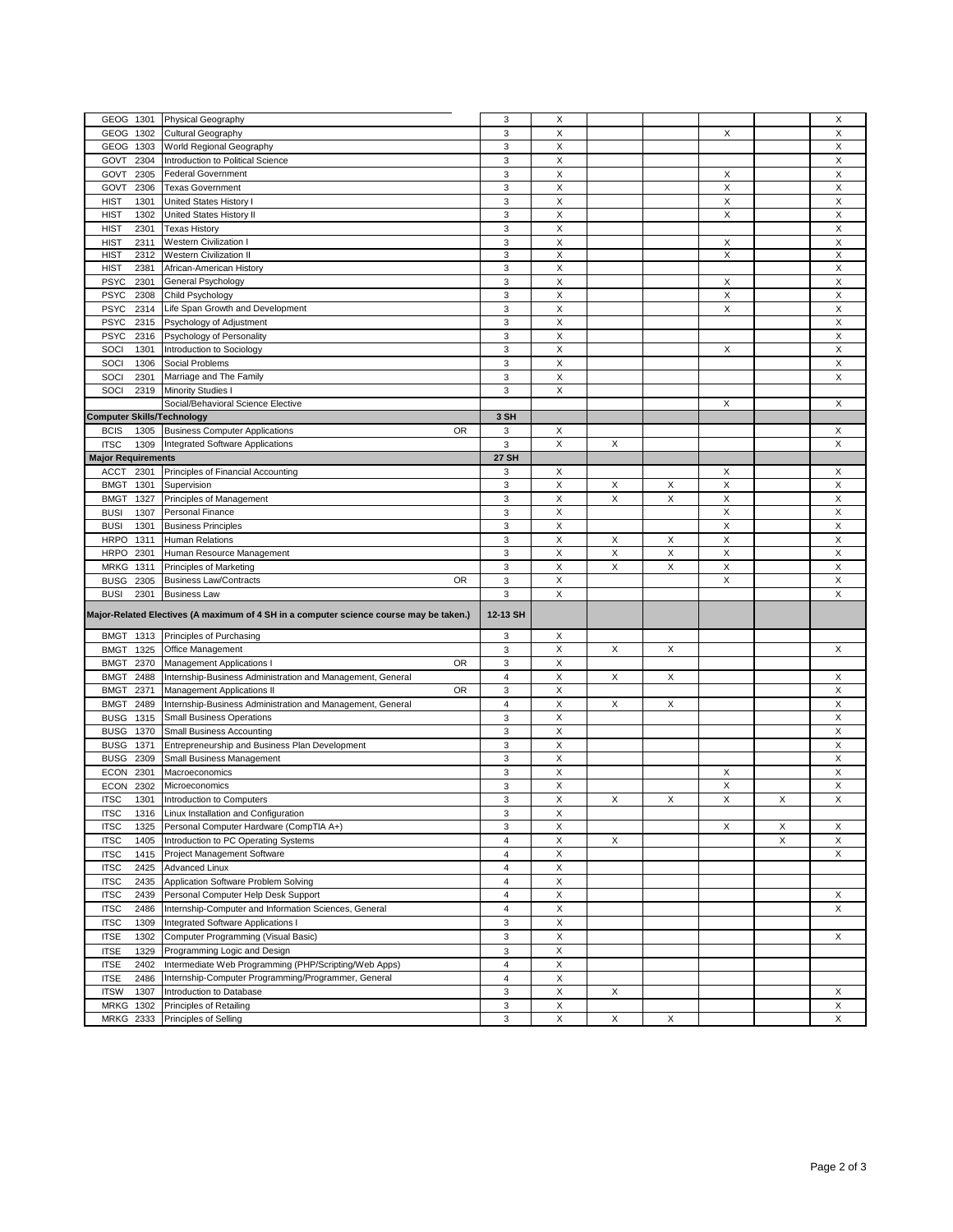| GEOG 1301                         | Physical Geography                                                                                            | 3                       | Χ |   |   |          |   | X |
|-----------------------------------|---------------------------------------------------------------------------------------------------------------|-------------------------|---|---|---|----------|---|---|
| GEOG<br>1302                      | Cultural Geography                                                                                            | 3                       | X |   |   | Х        |   | X |
| GEOG 1303                         | World Regional Geography                                                                                      | 3                       | X |   |   |          |   | X |
| 2304<br>GOVT                      | Introduction to Political Science                                                                             | 3                       | X |   |   |          |   | X |
| 2305<br>GOVT                      | <b>Federal Government</b>                                                                                     | 3                       | X |   |   | X        |   | X |
|                                   |                                                                                                               |                         |   |   |   |          |   |   |
| GOVT<br>2306                      | <b>Texas Government</b>                                                                                       | 3                       | X |   |   | $\times$ |   | X |
| <b>HIST</b><br>1301               | United States History I                                                                                       | 3                       | Χ |   |   | X        |   | X |
| <b>HIST</b><br>1302               | <b>United States History II</b>                                                                               | 3                       | Χ |   |   | X        |   | X |
| <b>HIST</b><br>2301               | <b>Texas History</b>                                                                                          | 3                       | Χ |   |   |          |   | X |
| <b>HIST</b><br>2311               | Western Civilization I                                                                                        | 3                       | X |   |   | Х        |   | X |
| <b>HIST</b><br>2312               | <b>Western Civilization II</b>                                                                                | 3                       | X |   |   | X        |   | X |
| <b>HIST</b><br>2381               | African-American History                                                                                      | 3                       | X |   |   |          |   | X |
| <b>PSYC</b><br>2301               | General Psychology                                                                                            | 3                       | Χ |   |   | Х        |   | X |
|                                   |                                                                                                               |                         |   |   |   |          |   |   |
| 2308<br><b>PSYC</b>               | Child Psychology                                                                                              | 3                       | X |   |   | X        |   | X |
| 2314<br><b>PSYC</b>               | Life Span Growth and Development                                                                              | 3                       | Χ |   |   | X        |   | X |
| <b>PSYC</b><br>2315               | Psychology of Adjustment                                                                                      | 3                       | X |   |   |          |   | X |
| <b>PSYC</b><br>2316               | Psychology of Personality                                                                                     | 3                       | X |   |   |          |   | X |
| SOCI<br>1301                      | Introduction to Sociology                                                                                     | 3                       | Χ |   |   | Х        |   | X |
| SOCI<br>1306                      | Social Problems                                                                                               | 3                       | Χ |   |   |          |   | X |
| SOCI<br>2301                      | Marriage and The Family                                                                                       | 3                       | X |   |   |          |   | X |
| SOCI<br>2319                      | <b>Minority Studies I</b>                                                                                     | 3                       | X |   |   |          |   |   |
|                                   | Social/Behavioral Science Elective                                                                            |                         |   |   |   | X        |   | X |
|                                   |                                                                                                               |                         |   |   |   |          |   |   |
| <b>Computer Skills/Technology</b> |                                                                                                               | 3 SH                    |   |   |   |          |   |   |
| <b>BCIS</b><br>1305               | <b>Business Computer Applications</b><br>0R                                                                   | 3                       | Х |   |   |          |   | X |
| <b>ITSC</b><br>1309               | Integrated Software Applications                                                                              | 3                       | X | X |   |          |   | Χ |
| <b>Major Requirements</b>         |                                                                                                               | <b>27 SH</b>            |   |   |   |          |   |   |
| ACCT<br>2301                      | Principles of Financial Accounting                                                                            | 3                       | Х |   |   | Х        |   | Х |
| <b>BMGT</b><br>1301               | Supervision                                                                                                   | 3                       | Χ | Х | X | X        |   | X |
| <b>BMGT</b><br>1327               | Principles of Management                                                                                      | 3                       | X | X | X | X        |   | Χ |
| <b>BUSI</b><br>1307               | Personal Finance                                                                                              | 3                       | X |   |   | X        |   | Χ |
|                                   |                                                                                                               |                         |   |   |   |          |   |   |
| 1301<br><b>BUSI</b>               | <b>Business Principles</b>                                                                                    | 3                       | X |   |   | X        |   | Χ |
| <b>HRPO</b><br>1311               | <b>Human Relations</b>                                                                                        | 3                       | X | X | X | X        |   | X |
| <b>HRPO</b><br>2301               | Human Resource Management                                                                                     | 3                       | X | X | X | X        |   | X |
|                                   |                                                                                                               |                         |   |   |   |          |   |   |
| <b>MRKG</b><br>1311               | Principles of Marketing                                                                                       | 3                       | Χ | X | X | X        |   | Χ |
|                                   | <b>Business Law/Contracts</b><br>OR.                                                                          |                         | Χ |   |   | X        |   | X |
| <b>BUSG</b><br>2305               |                                                                                                               | 3                       |   |   |   |          |   |   |
| <b>BUSI</b><br>2301               | <b>Business Law</b><br>Major-Related Electives (A maximum of 4 SH in a computer science course may be taken.) | 3<br>12-13 SH           | X |   |   |          |   | Х |
|                                   |                                                                                                               |                         |   |   |   |          |   |   |
| 1313<br><b>BMGT</b>               | Principles of Purchasing                                                                                      | 3                       | Х |   |   |          |   |   |
| 1325<br><b>BMGT</b>               | Office Management                                                                                             | 3                       | X | X | X |          |   | X |
| <b>BMGT</b><br>2370               | <b>OR</b><br>Management Applications I                                                                        | 3                       | Χ |   |   |          |   |   |
| 2488<br><b>BMGT</b>               | Internship-Business Administration and Management, General                                                    | $\overline{4}$          | Χ | X | X |          |   | X |
| <b>BMGT</b><br>2371               | OR<br>Management Applications II                                                                              | 3                       | Χ |   |   |          |   | X |
|                                   |                                                                                                               |                         | X | X | X |          |   | Χ |
| <b>BMGT</b><br>2489               | Internship-Business Administration and Management, General                                                    | $\overline{4}$          |   |   |   |          |   |   |
| <b>BUSG</b><br>1315               | <b>Small Business Operations</b>                                                                              | 3                       | Χ |   |   |          |   | Χ |
| <b>BUSG</b><br>1370               | <b>Small Business Accounting</b>                                                                              | 3                       | X |   |   |          |   | X |
| <b>BUSG</b><br>1371               | Entrepreneurship and Business Plan Development                                                                | 3                       | Χ |   |   |          |   | X |
| <b>BUSG</b><br>2309               | Small Business Management                                                                                     | 3                       | X |   |   |          |   | X |
| <b>ECON</b><br>2301               | Macroeconomics                                                                                                | 3                       | Χ |   |   | Х        |   | Χ |
| <b>ECON</b><br>2302               | Microeconomics                                                                                                | 3                       | Χ |   |   | X        |   | X |
| <b>ITSC</b><br>1301               | Introduction to Computers                                                                                     | 3                       | X | X | X | X        | X | X |
| <b>ITSC</b><br>1316               | Linux Installation and Configuration                                                                          | 3                       | х |   |   |          |   |   |
|                                   |                                                                                                               |                         |   |   |   |          |   |   |
| <b>ITSC</b><br>1325               | Personal Computer Hardware (CompTIA A+)                                                                       | 3                       | X |   |   | X        | X | X |
| <b>ITSC</b><br>1405               | Introduction to PC Operating Systems                                                                          | $\overline{4}$          | Χ | X |   |          | X | X |
| <b>ITSC</b><br>1415               | Project Management Software                                                                                   | $\overline{4}$          | X |   |   |          |   | X |
| <b>ITSC</b><br>2425               | Advanced Linux                                                                                                | $\overline{4}$          | Χ |   |   |          |   |   |
| <b>ITSC</b><br>2435               | Application Software Problem Solving                                                                          | 4                       | X |   |   |          |   |   |
| <b>ITSC</b><br>2439               | Personal Computer Help Desk Support                                                                           | $\overline{4}$          | Χ |   |   |          |   | х |
| <b>ITSC</b><br>2486               | Internship-Computer and Information Sciences, General                                                         | 4                       | X |   |   |          |   | X |
| 1309                              |                                                                                                               |                         |   |   |   |          |   |   |
| <b>ITSC</b>                       | Integrated Software Applications I                                                                            | 3                       | X |   |   |          |   |   |
| <b>ITSE</b><br>1302               | Computer Programming (Visual Basic)                                                                           | 3                       | X |   |   |          |   | X |
| <b>ITSE</b><br>1329               | Programming Logic and Design                                                                                  | 3                       | Χ |   |   |          |   |   |
| <b>ITSE</b><br>2402               | Intermediate Web Programming (PHP/Scripting/Web Apps)                                                         | $\overline{\mathbf{4}}$ | Χ |   |   |          |   |   |
| <b>ITSE</b><br>2486               | Internship-Computer Programming/Programmer, General                                                           | $\overline{4}$          | X |   |   |          |   |   |
| 1307<br><b>ITSW</b>               | Introduction to Database                                                                                      | 3                       | X | X |   |          |   | X |
| <b>MRKG</b><br>1302               | Principles of Retailing                                                                                       | 3                       | X |   |   |          |   | X |